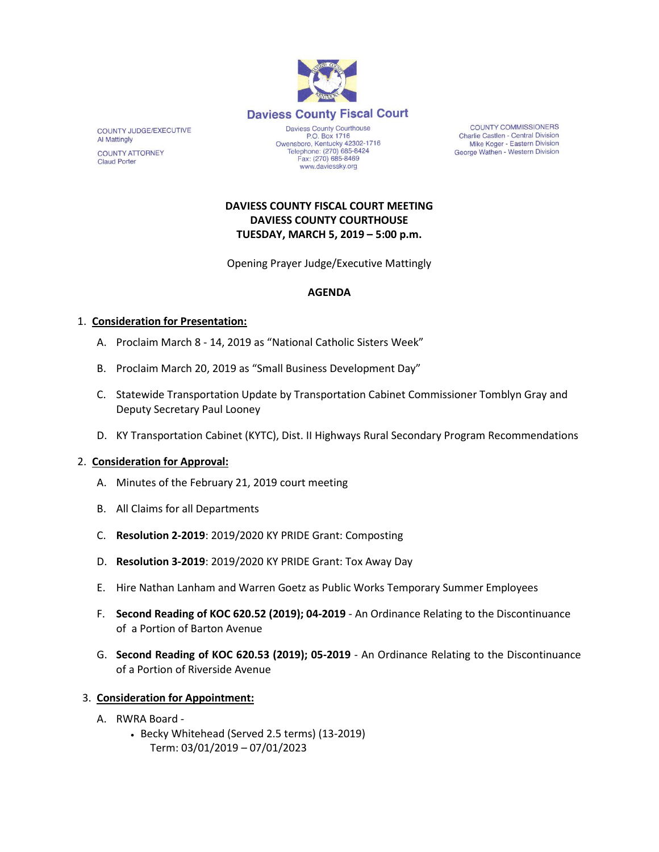

www.daviessky.org

COUNTY JUDGE/EXECUTIVE **Al Mattingly COUNTY ATTORNEY Claud Porter** 

**COUNTY COMMISSIONERS** Charlie Castlen - Central Division Mike Koger - Eastern Division George Wathen - Western Division

# **DAVIESS COUNTY FISCAL COURT MEETING DAVIESS COUNTY COURTHOUSE TUESDAY, MARCH 5, 2019 – 5:00 p.m.**

Opening Prayer Judge/Executive Mattingly

### **AGENDA**

#### 1. **Consideration for Presentation:**

- A. Proclaim March 8 14, 2019 as "National Catholic Sisters Week"
- B. Proclaim March 20, 2019 as "Small Business Development Day"
- C. Statewide Transportation Update by Transportation Cabinet Commissioner Tomblyn Gray and Deputy Secretary Paul Looney
- D. KY Transportation Cabinet (KYTC), Dist. II Highways Rural Secondary Program Recommendations

#### 2. **Consideration for Approval:**

- A. Minutes of the February 21, 2019 court meeting
- B. All Claims for all Departments
- C. **Resolution 2-2019**: 2019/2020 KY PRIDE Grant: Composting
- D. **Resolution 3-2019**: 2019/2020 KY PRIDE Grant: Tox Away Day
- E. Hire Nathan Lanham and Warren Goetz as Public Works Temporary Summer Employees
- F. **Second Reading of KOC 620.52 (2019); 04-2019**  An Ordinance Relating to the Discontinuance of a Portion of Barton Avenue
- G. **Second Reading of KOC 620.53 (2019); 05-2019** An Ordinance Relating to the Discontinuance of a Portion of Riverside Avenue

## 3. **Consideration for Appointment:**

- A. RWRA Board
	- Becky Whitehead (Served 2.5 terms) (13-2019) Term: 03/01/2019 – 07/01/2023